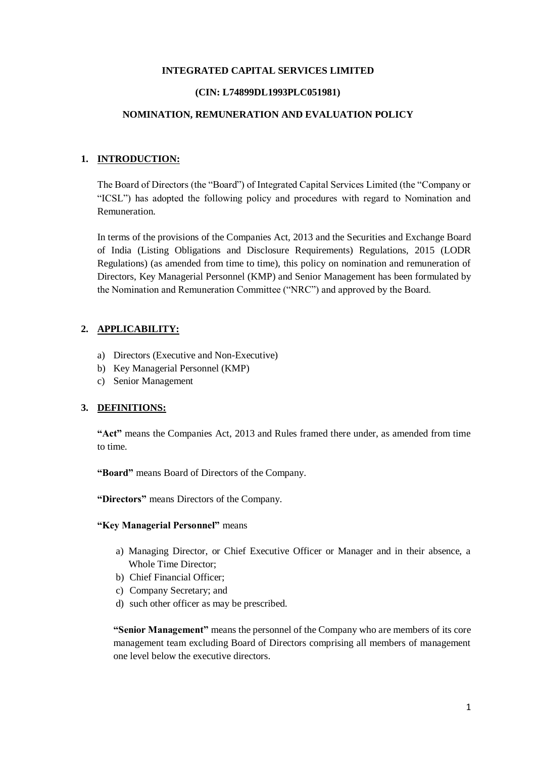### **INTEGRATED CAPITAL SERVICES LIMITED**

#### **(CIN: L74899DL1993PLC051981)**

#### **NOMINATION, REMUNERATION AND EVALUATION POLICY**

### **1. INTRODUCTION:**

The Board of Directors (the "Board") of Integrated Capital Services Limited (the "Company or "ICSL") has adopted the following policy and procedures with regard to Nomination and Remuneration.

In terms of the provisions of the Companies Act, 2013 and the Securities and Exchange Board of India (Listing Obligations and Disclosure Requirements) Regulations, 2015 (LODR Regulations) (as amended from time to time), this policy on nomination and remuneration of Directors, Key Managerial Personnel (KMP) and Senior Management has been formulated by the Nomination and Remuneration Committee ("NRC") and approved by the Board.

# **2. APPLICABILITY:**

- a) Directors (Executive and Non-Executive)
- b) Key Managerial Personnel (KMP)
- c) Senior Management

### **3. DEFINITIONS:**

**"Act"** means the Companies Act, 2013 and Rules framed there under, as amended from time to time.

**"Board"** means Board of Directors of the Company.

**"Directors"** means Directors of the Company.

### **"Key Managerial Personnel"** means

- a) Managing Director, or Chief Executive Officer or Manager and in their absence, a Whole Time Director;
- b) Chief Financial Officer;
- c) Company Secretary; and
- d) such other officer as may be prescribed.

**"Senior Management"** means the personnel of the Company who are members of its core management team excluding Board of Directors comprising all members of management one level below the executive directors.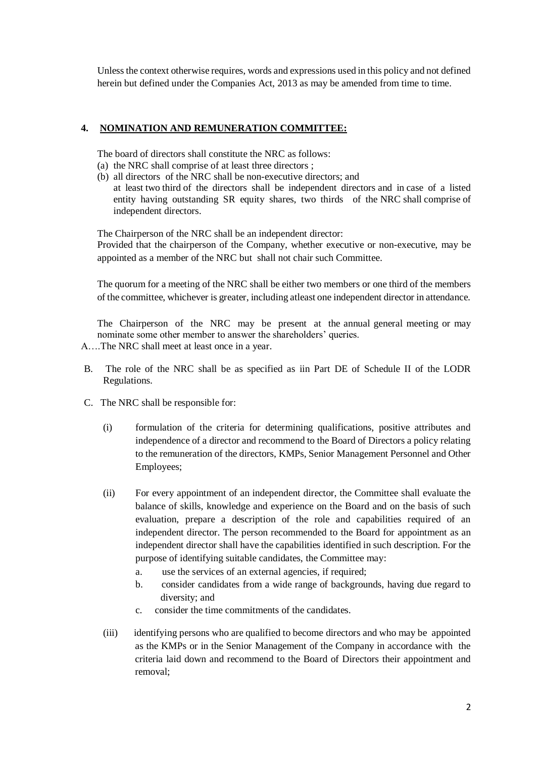Unless the context otherwise requires, words and expressions used in this policy and not defined herein but defined under the Companies Act, 2013 as may be amended from time to time.

# **4. NOMINATION AND REMUNERATION COMMITTEE:**

The board of directors shall constitute the NRC as follows:

- (a) the NRC shall comprise of at least three directors ;
- (b) all directors of the NRC shall be non-executive directors; and at least two third of the directors shall be independent directors and in case of a listed entity having outstanding SR equity shares, two thirds of the NRC shall comprise of independent directors.

The Chairperson of the NRC shall be an independent director:

Provided that the chairperson of the Company, whether executive or non-executive, may be appointed as a member of the NRC but shall not chair such Committee.

The quorum for a meeting of the NRC shall be either two members or one third of the members of the committee, whichever is greater, including atleast one independent director in attendance.

The Chairperson of the NRC may be present at the annual general meeting or may nominate some other member to answer the shareholders' queries.

- A….The NRC shall meet at least once in a year.
- B. The role of the NRC shall be as specified as iin Part DE of Schedule II of the LODR Regulations.
- C. The NRC shall be responsible for:
	- (i) formulation of the criteria for determining qualifications, positive attributes and independence of a director and recommend to the Board of Directors a policy relating to the remuneration of the directors, KMPs, Senior Management Personnel and Other Employees;
	- (ii) For every appointment of an independent director, the Committee shall evaluate the balance of skills, knowledge and experience on the Board and on the basis of such evaluation, prepare a description of the role and capabilities required of an independent director. The person recommended to the Board for appointment as an independent director shall have the capabilities identified in such description. For the purpose of identifying suitable candidates, the Committee may:
		- a. use the services of an external agencies, if required;
		- b. consider candidates from a wide range of backgrounds, having due regard to diversity; and
		- c. consider the time commitments of the candidates.
	- (iii) identifying persons who are qualified to become directors and who may be appointed as the KMPs or in the Senior Management of the Company in accordance with the criteria laid down and recommend to the Board of Directors their appointment and removal;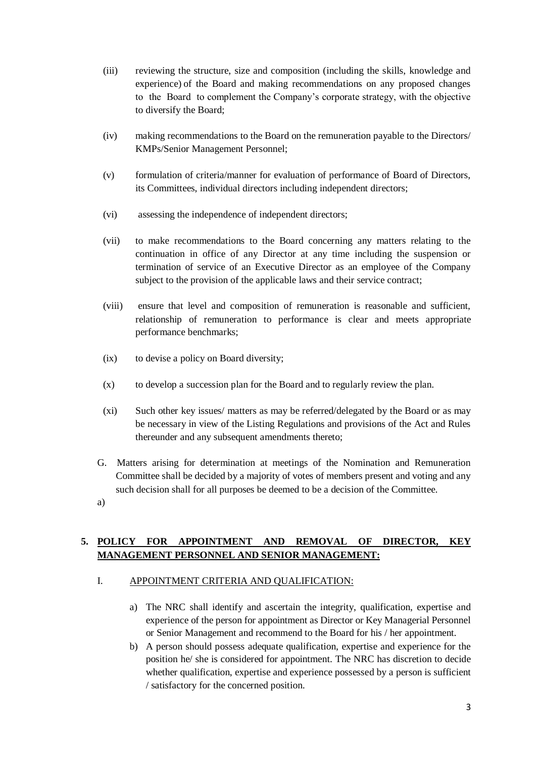- (iii) reviewing the structure, size and composition (including the skills, knowledge and experience) of the Board and making recommendations on any proposed changes to the Board to complement the Company's corporate strategy, with the objective to diversify the Board;
- (iv) making recommendations to the Board on the remuneration payable to the Directors/ KMPs/Senior Management Personnel;
- (v) formulation of criteria/manner for evaluation of performance of Board of Directors, its Committees, individual directors including independent directors;
- (vi) assessing the independence of independent directors;
- (vii) to make recommendations to the Board concerning any matters relating to the continuation in office of any Director at any time including the suspension or termination of service of an Executive Director as an employee of the Company subject to the provision of the applicable laws and their service contract;
- (viii) ensure that level and composition of remuneration is reasonable and sufficient, relationship of remuneration to performance is clear and meets appropriate performance benchmarks;
- (ix) to devise a policy on Board diversity;
- (x) to develop a succession plan for the Board and to regularly review the plan.
- (xi) Such other key issues/ matters as may be referred/delegated by the Board or as may be necessary in view of the Listing Regulations and provisions of the Act and Rules thereunder and any subsequent amendments thereto;
- G. Matters arising for determination at meetings of the Nomination and Remuneration Committee shall be decided by a majority of votes of members present and voting and any such decision shall for all purposes be deemed to be a decision of the Committee.
- a)

# **5. POLICY FOR APPOINTMENT AND REMOVAL OF DIRECTOR, KEY MANAGEMENT PERSONNEL AND SENIOR MANAGEMENT:**

### I. APPOINTMENT CRITERIA AND QUALIFICATION:

- a) The NRC shall identify and ascertain the integrity, qualification, expertise and experience of the person for appointment as Director or Key Managerial Personnel or Senior Management and recommend to the Board for his / her appointment.
- b) A person should possess adequate qualification, expertise and experience for the position he/ she is considered for appointment. The NRC has discretion to decide whether qualification, expertise and experience possessed by a person is sufficient / satisfactory for the concerned position.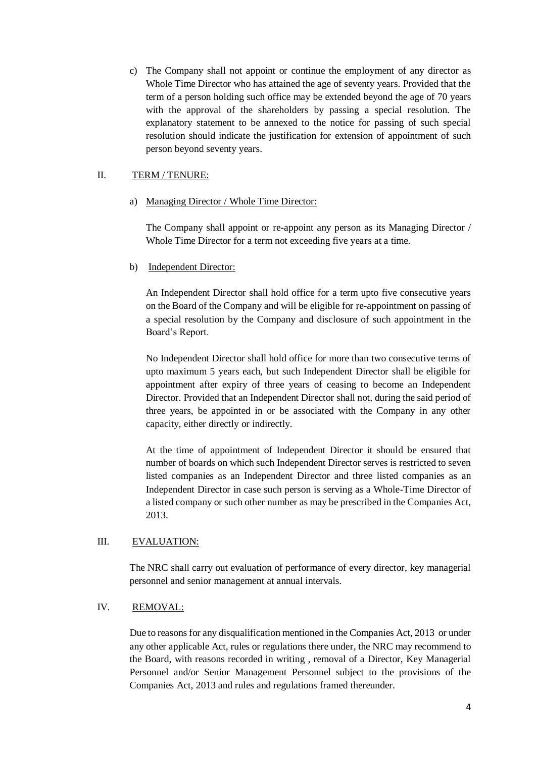c) The Company shall not appoint or continue the employment of any director as Whole Time Director who has attained the age of seventy years. Provided that the term of a person holding such office may be extended beyond the age of 70 years with the approval of the shareholders by passing a special resolution. The explanatory statement to be annexed to the notice for passing of such special resolution should indicate the justification for extension of appointment of such person beyond seventy years.

# II. TERM / TENURE:

## a) Managing Director / Whole Time Director:

The Company shall appoint or re-appoint any person as its Managing Director / Whole Time Director for a term not exceeding five years at a time.

## b) Independent Director:

An Independent Director shall hold office for a term upto five consecutive years on the Board of the Company and will be eligible for re-appointment on passing of a special resolution by the Company and disclosure of such appointment in the Board's Report.

No Independent Director shall hold office for more than two consecutive terms of upto maximum 5 years each, but such Independent Director shall be eligible for appointment after expiry of three years of ceasing to become an Independent Director. Provided that an Independent Director shall not, during the said period of three years, be appointed in or be associated with the Company in any other capacity, either directly or indirectly.

At the time of appointment of Independent Director it should be ensured that number of boards on which such Independent Director serves is restricted to seven listed companies as an Independent Director and three listed companies as an Independent Director in case such person is serving as a Whole-Time Director of a listed company or such other number as may be prescribed in the Companies Act, 2013.

# III. EVALUATION:

The NRC shall carry out evaluation of performance of every director, key managerial personnel and senior management at annual intervals.

# IV. REMOVAL:

Due to reasons for any disqualification mentioned in the Companies Act, 2013 or under any other applicable Act, rules or regulations there under, the NRC may recommend to the Board, with reasons recorded in writing , removal of a Director, Key Managerial Personnel and/or Senior Management Personnel subject to the provisions of the Companies Act, 2013 and rules and regulations framed thereunder.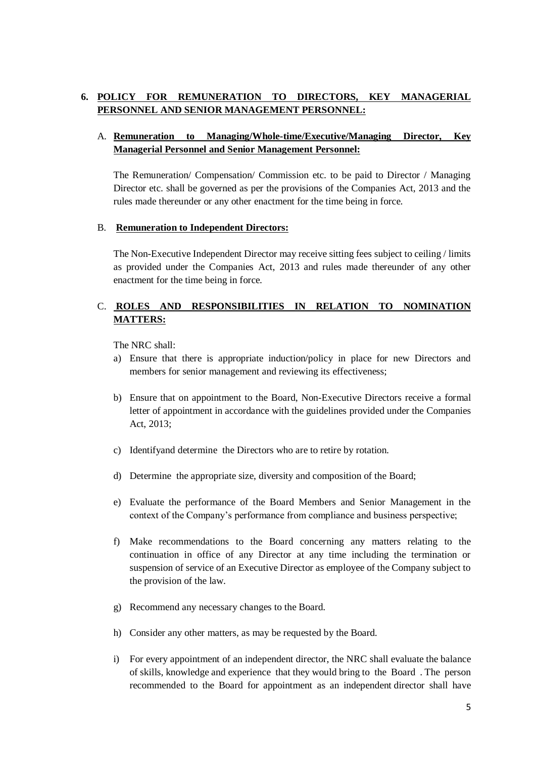# **6. POLICY FOR REMUNERATION TO DIRECTORS, KEY MANAGERIAL PERSONNEL AND SENIOR MANAGEMENT PERSONNEL:**

# A. **Remuneration to Managing/Whole-time/Executive/Managing Director, Key Managerial Personnel and Senior Management Personnel:**

The Remuneration/ Compensation/ Commission etc. to be paid to Director / Managing Director etc. shall be governed as per the provisions of the Companies Act, 2013 and the rules made thereunder or any other enactment for the time being in force.

## B. **Remuneration to Independent Directors:**

The Non-Executive Independent Director may receive sitting fees subject to ceiling / limits as provided under the Companies Act, 2013 and rules made thereunder of any other enactment for the time being in force.

# C. **ROLES AND RESPONSIBILITIES IN RELATION TO NOMINATION MATTERS:**

The NRC shall:

- a) Ensure that there is appropriate induction/policy in place for new Directors and members for senior management and reviewing its effectiveness;
- b) Ensure that on appointment to the Board, Non-Executive Directors receive a formal letter of appointment in accordance with the guidelines provided under the Companies Act, 2013;
- c) Identifyand determine the Directors who are to retire by rotation.
- d) Determine the appropriate size, diversity and composition of the Board;
- e) Evaluate the performance of the Board Members and Senior Management in the context of the Company's performance from compliance and business perspective;
- f) Make recommendations to the Board concerning any matters relating to the continuation in office of any Director at any time including the termination or suspension of service of an Executive Director as employee of the Company subject to the provision of the law.
- g) Recommend any necessary changes to the Board.
- h) Consider any other matters, as may be requested by the Board.
- i) For every appointment of an independent director, the NRC shall evaluate the balance of skills, knowledge and experience that they would bring to the Board . The person recommended to the Board for appointment as an independent director shall have